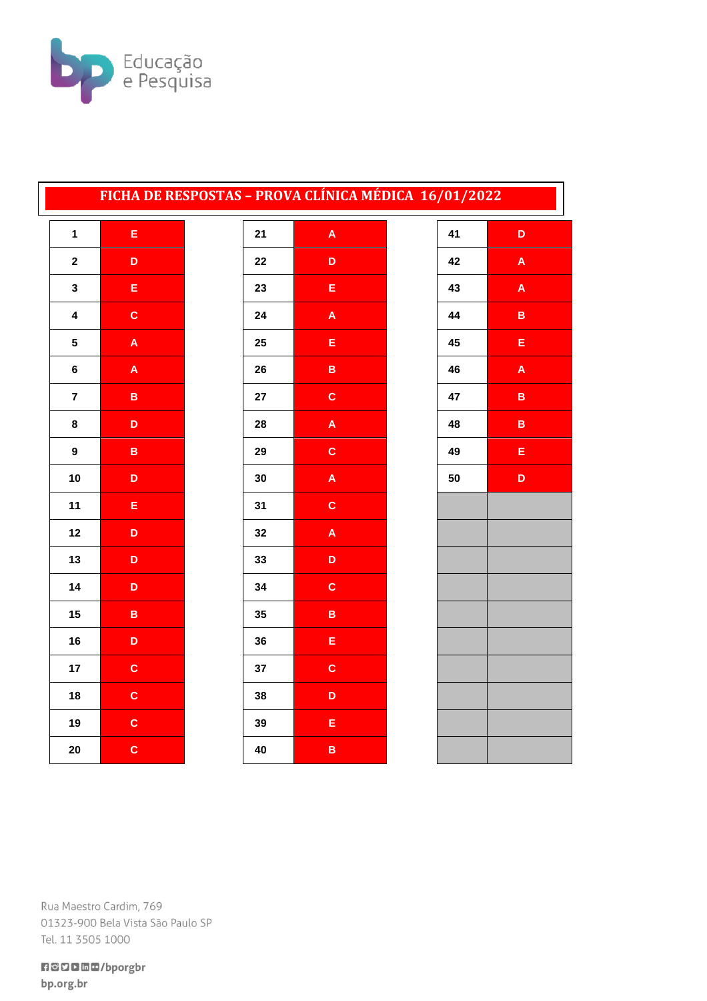

## FICHA DE RESPOSTAS - PROVA CLÍNICA MÉDICA 16/01/2022

| 1                       | E |
|-------------------------|---|
| $\overline{\mathbf{c}}$ | D |
| 3                       | E |
| 4                       | C |
| 5                       | A |
| 6                       | A |
| 7                       | B |
| 8                       | D |
| 9                       | B |
| 10                      | D |
| 11                      | E |
| 12                      | D |
| 13                      | D |
| 14                      | D |
| 15                      | B |
| 16                      | D |
| 17                      | C |
| 18                      | C |
| 19                      | C |
| 20                      | c |

| 21 | A           |
|----|-------------|
| 22 | D           |
| 23 | E           |
| 24 | A           |
| 25 | E           |
| 26 | B           |
| 27 | $\mathbf c$ |
| 28 | A           |
| 29 | $\mathbf c$ |
| 30 | A           |
| 31 | $\mathbf c$ |
| 32 | A           |
| 33 | D           |
| 34 | C           |
| 35 | B           |
| 36 | E           |
| 37 | C           |
| 38 | D           |
| 39 | E           |
| 40 | B           |

| 41 | D |
|----|---|
| 42 | A |
| 43 | A |
| 44 | B |
| 45 | E |
| 46 | A |
| 47 | B |
| 48 | B |
| 49 | E |
| 50 | D |
|    |   |
|    |   |
|    |   |
|    |   |
|    |   |
|    |   |
|    |   |
|    |   |
|    |   |
|    |   |

Rua Maestro Cardim, 769 01323-900 Bela Vista São Paulo SP Tel. 11 3505 1000

**REDDED/bporgbr** bp.org.br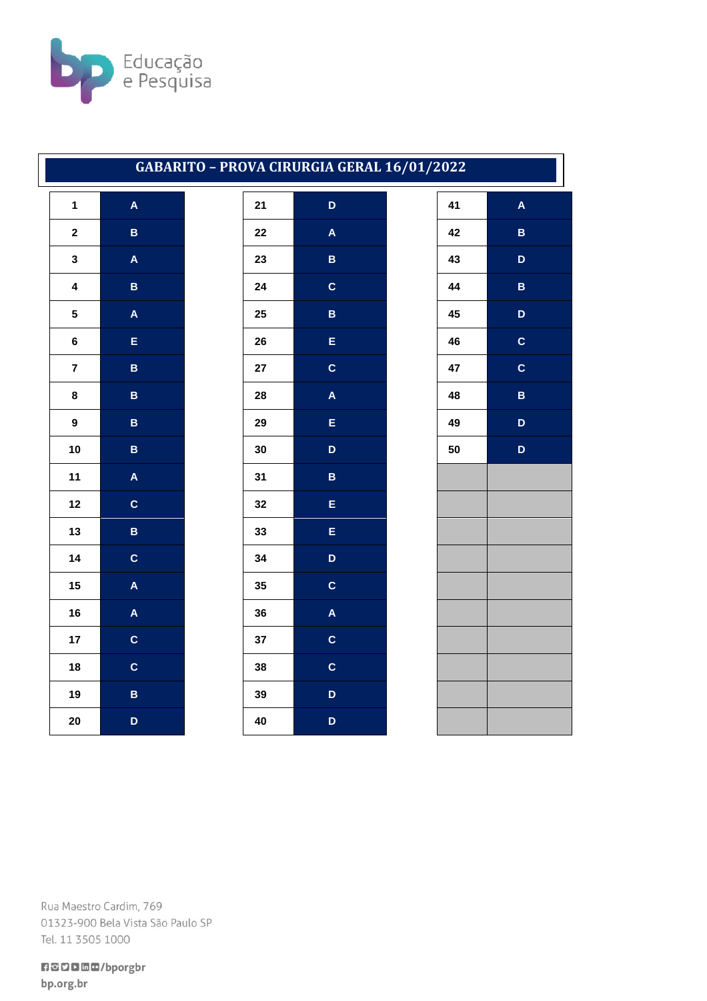

## GABARITO - PROVA CIRURGIA GERAL 16/01/2022

| 1                       | A                       |
|-------------------------|-------------------------|
| $\overline{\mathbf{c}}$ | B                       |
| 3                       | A                       |
| 4                       | B                       |
| 5                       | $\overline{\mathsf{A}}$ |
| 6                       | E                       |
| $\overline{7}$          | B                       |
| 8                       | B                       |
| 9                       | B                       |
| 10                      | B                       |
| 11                      | A                       |
| 12                      | c                       |
| 13                      | B                       |
| 14                      | C                       |
| 15                      | A                       |
| 16                      | $\overline{\mathsf{A}}$ |
| 17                      | $\mathbf c$             |
| 18                      | $\overline{\mathbf{c}}$ |
| 19                      | B                       |
| 20                      | D                       |

| 21 | D                       |
|----|-------------------------|
| 22 | A                       |
| 23 | B                       |
| 24 | $\mathbf c$             |
| 25 | B                       |
| 26 | E                       |
| 27 | C                       |
| 28 | $\overline{\mathsf{A}}$ |
| 29 | E                       |
| 30 | D                       |
| 31 | B                       |
| 32 | E                       |
| 33 | E                       |
| 34 | D                       |
| 35 | C                       |
| 36 | A                       |
| 37 | C                       |
| 38 | $\mathbf c$             |
| 39 | D                       |
| 40 | D                       |

| 41 | $\overline{\mathsf{A}}$ |
|----|-------------------------|
| 42 | B                       |
| 43 | D                       |
| 44 | B                       |
| 45 | D                       |
| 46 | C                       |
| 47 | $\mathbf c$             |
| 48 | B                       |
| 49 | D                       |
| 50 | D                       |
|    |                         |
|    |                         |
|    |                         |
|    |                         |
|    |                         |
|    |                         |
|    |                         |
|    |                         |
|    |                         |
|    |                         |
|    |                         |

Rua Maestro Cardim, 769 01323-900 Bela Vista São Paulo SP Tel. 11 3505 1000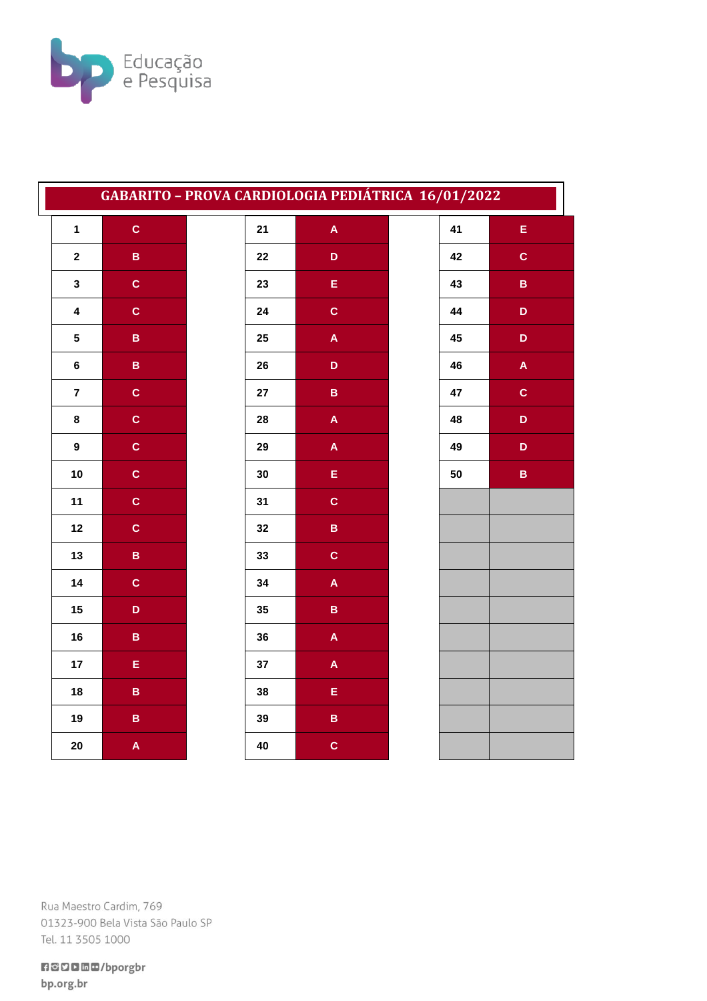

| GABARITO - PROVA CARDIOLOGIA PEDIÁTRICA 16/01/2022 |                 |            |                           |    |                           |
|----------------------------------------------------|-----------------|------------|---------------------------|----|---------------------------|
| $\mathbf{1}$                                       | $\mathbf{C}$    | 21         | $\mathbf{A}$              | 41 | $\mathsf E$               |
| $\mathbf{2}$                                       | B               | ${\bf 22}$ | D                         | 42 | $\mathbf{C}$              |
| $\mathbf{3}$                                       | $\mathbf{C}$    | 23         | E                         | 43 | $\mathsf B$               |
| $\overline{\mathbf{4}}$                            | $\mathbf{C}$    | 24         | $\mathbf{C}$              | 44 | D                         |
| $5\overline{)}$                                    | $\mathbf{B}$    | 25         | $\mathbf{A}$              | 45 | $\mathbf D$               |
| $\bf 6$                                            | $\mathbf B$     | 26         | D                         | 46 | $\boldsymbol{\mathsf{A}}$ |
| $\overline{7}$                                     | $\mathbf{C}$    | 27         | $\mathbf B$               | 47 | $\mathbf{C}$              |
| 8                                                  | $\mathbf{c}$    | 28         | A                         | 48 | D                         |
| $\boldsymbol{9}$                                   | $\mathbf{C}$    | 29         | A                         | 49 | $\mathbf D$               |
| 10                                                 | $\mathbf{C}$    | 30         | E.                        | 50 | $\, {\bf B} \,$           |
| 11                                                 | $\mathbf{C}$    | 31         | $\mathbf C$               |    |                           |
| 12                                                 | $\mathbf{C}$    | 32         | B                         |    |                           |
| 13                                                 | $\mathsf B$     | 33         | $\mathbf{C}$              |    |                           |
| 14                                                 | $\mathbf{C}$    | 34         | $\boldsymbol{\mathsf{A}}$ |    |                           |
| 15                                                 | D               | 35         | $\overline{\mathbf{B}}$   |    |                           |
| 16                                                 | $\, {\bf B} \,$ | 36         | $\mathbf{A}$              |    |                           |
| 17                                                 | E.              | 37         | $\mathsf{A}$              |    |                           |
| 18                                                 | $\mathbf B$     | 38         | E,                        |    |                           |
| 19                                                 | $\, {\bf B} \,$ | 39         | $\overline{\mathbf{B}}$   |    |                           |
| 20                                                 | A               | 40         | $\mathbf C$               |    |                           |

Rua Maestro Cardim, 769 01323-900 Bela Vista São Paulo SP Tel. 11 3505 1000

**日ごり口回回/bporgbr** bp.org.br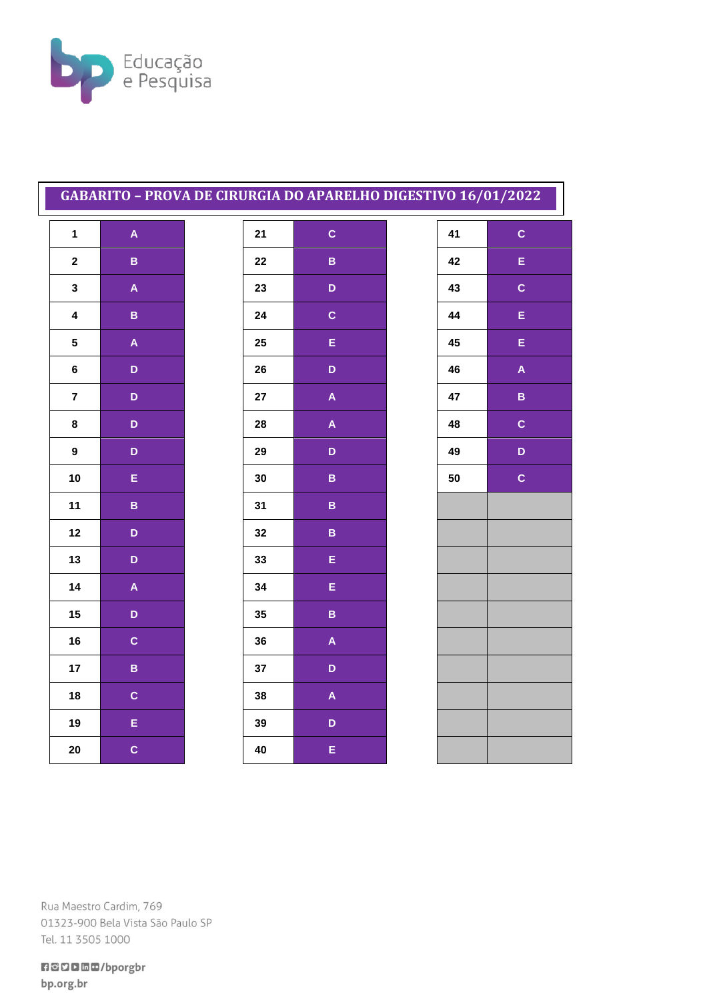

## GABARITO - PROVA DE CIRURGIA DO APARELHO DIGESTIVO 16/01/2022

| 1                       | A |
|-------------------------|---|
| $\overline{\mathbf{c}}$ | B |
| 3                       | A |
| 4                       | B |
| 5                       | A |
| 6                       | D |
| 7                       | D |
| 8                       | D |
| 9                       | D |
| 10                      | E |
| 11                      | B |
| 12                      | D |
| 13                      | D |
| 14                      | A |
| 15                      | D |
| 16                      | C |
| 17                      | B |
| 18                      | C |
| 19                      | E |
| 20                      | C |

| 21 | $\mathbf c$ |
|----|-------------|
| 22 | B           |
| 23 | D           |
| 24 | $\mathbf c$ |
| 25 | E           |
| 26 | D           |
| 27 | A           |
| 28 | A           |
| 29 | D           |
| 30 | B           |
| 31 | B           |
| 32 | B           |
| 33 | E           |
| 34 | E           |
| 35 | B           |
| 36 | A           |
| 37 | D           |
| 38 | A           |
| 39 | D           |
| 40 | E           |

|    | L<br>I      |
|----|-------------|
| 41 | $\mathbf c$ |
| 42 | E           |
| 43 | C           |
| 44 | Ė           |
| 45 | Ė           |
| 46 | A           |
| 47 | B           |
| 48 | C           |
| 49 | D           |
| 50 | C           |
|    |             |
|    |             |
|    |             |
|    |             |
|    |             |
|    |             |
|    |             |
|    |             |
|    |             |
|    |             |

Rua Maestro Cardim, 769 01323-900 Bela Vista São Paulo SP Tel. 11 3505 1000

**日ごり口面の/bporgbr** bp.org.br